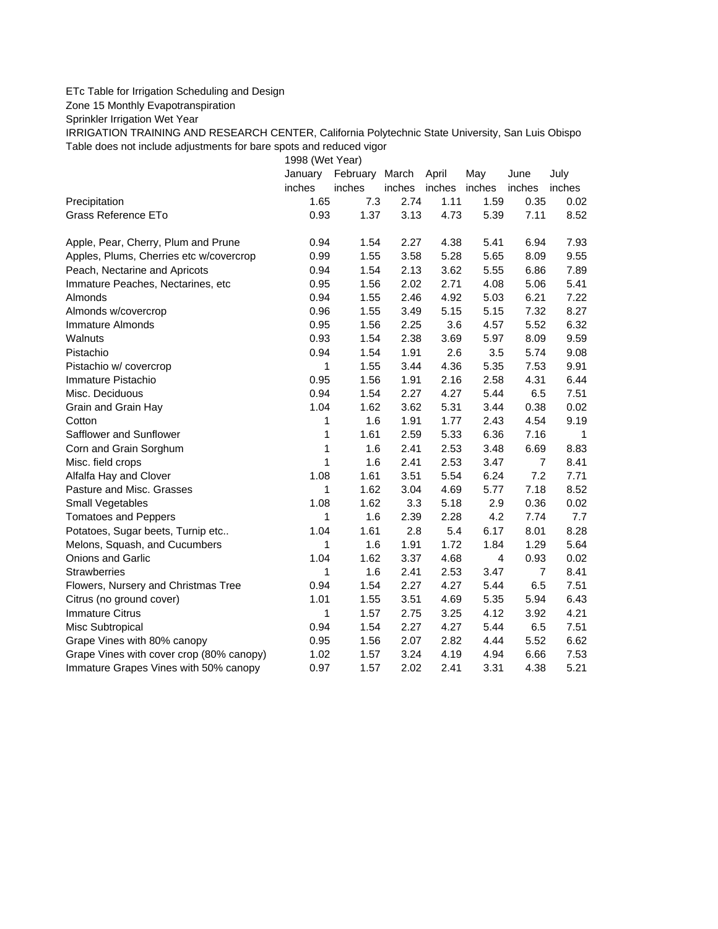## ETc Table for Irrigation Scheduling and Design

Zone 15 Monthly Evapotranspiration

Sprinkler Irrigation Wet Year

IRRIGATION TRAINING AND RESEARCH CENTER, California Polytechnic State University, San Luis Obispo Table does not include adjustments for bare spots and reduced vigor

1998 (Wet Year)

|                                          | January | February March |        | April  | May            | June           | July   |
|------------------------------------------|---------|----------------|--------|--------|----------------|----------------|--------|
|                                          | inches  | inches         | inches | inches | inches         | inches         | inches |
| Precipitation                            | 1.65    | 7.3            | 2.74   | 1.11   | 1.59           | 0.35           | 0.02   |
| Grass Reference ETo                      | 0.93    | 1.37           | 3.13   | 4.73   | 5.39           | 7.11           | 8.52   |
| Apple, Pear, Cherry, Plum and Prune      | 0.94    | 1.54           | 2.27   | 4.38   | 5.41           | 6.94           | 7.93   |
| Apples, Plums, Cherries etc w/covercrop  | 0.99    | 1.55           | 3.58   | 5.28   | 5.65           | 8.09           | 9.55   |
| Peach, Nectarine and Apricots            | 0.94    | 1.54           | 2.13   | 3.62   | 5.55           | 6.86           | 7.89   |
| Immature Peaches, Nectarines, etc        | 0.95    | 1.56           | 2.02   | 2.71   | 4.08           | 5.06           | 5.41   |
| Almonds                                  | 0.94    | 1.55           | 2.46   | 4.92   | 5.03           | 6.21           | 7.22   |
| Almonds w/covercrop                      | 0.96    | 1.55           | 3.49   | 5.15   | 5.15           | 7.32           | 8.27   |
| <b>Immature Almonds</b>                  | 0.95    | 1.56           | 2.25   | 3.6    | 4.57           | 5.52           | 6.32   |
| Walnuts                                  | 0.93    | 1.54           | 2.38   | 3.69   | 5.97           | 8.09           | 9.59   |
| Pistachio                                | 0.94    | 1.54           | 1.91   | 2.6    | 3.5            | 5.74           | 9.08   |
| Pistachio w/ covercrop                   | 1       | 1.55           | 3.44   | 4.36   | 5.35           | 7.53           | 9.91   |
| Immature Pistachio                       | 0.95    | 1.56           | 1.91   | 2.16   | 2.58           | 4.31           | 6.44   |
| Misc. Deciduous                          | 0.94    | 1.54           | 2.27   | 4.27   | 5.44           | 6.5            | 7.51   |
| Grain and Grain Hay                      | 1.04    | 1.62           | 3.62   | 5.31   | 3.44           | 0.38           | 0.02   |
| Cotton                                   | 1       | 1.6            | 1.91   | 1.77   | 2.43           | 4.54           | 9.19   |
| Safflower and Sunflower                  | 1       | 1.61           | 2.59   | 5.33   | 6.36           | 7.16           | -1     |
| Corn and Grain Sorghum                   | 1       | 1.6            | 2.41   | 2.53   | 3.48           | 6.69           | 8.83   |
| Misc. field crops                        | 1       | 1.6            | 2.41   | 2.53   | 3.47           | $\overline{7}$ | 8.41   |
| Alfalfa Hay and Clover                   | 1.08    | 1.61           | 3.51   | 5.54   | 6.24           | 7.2            | 7.71   |
| Pasture and Misc. Grasses                | 1       | 1.62           | 3.04   | 4.69   | 5.77           | 7.18           | 8.52   |
| Small Vegetables                         | 1.08    | 1.62           | 3.3    | 5.18   | 2.9            | 0.36           | 0.02   |
| <b>Tomatoes and Peppers</b>              | 1       | 1.6            | 2.39   | 2.28   | 4.2            | 7.74           | 7.7    |
| Potatoes, Sugar beets, Turnip etc        | 1.04    | 1.61           | 2.8    | 5.4    | 6.17           | 8.01           | 8.28   |
| Melons, Squash, and Cucumbers            | 1       | 1.6            | 1.91   | 1.72   | 1.84           | 1.29           | 5.64   |
| <b>Onions and Garlic</b>                 | 1.04    | 1.62           | 3.37   | 4.68   | $\overline{4}$ | 0.93           | 0.02   |
| <b>Strawberries</b>                      | 1       | 1.6            | 2.41   | 2.53   | 3.47           | $\overline{7}$ | 8.41   |
| Flowers, Nursery and Christmas Tree      | 0.94    | 1.54           | 2.27   | 4.27   | 5.44           | 6.5            | 7.51   |
| Citrus (no ground cover)                 | 1.01    | 1.55           | 3.51   | 4.69   | 5.35           | 5.94           | 6.43   |
| <b>Immature Citrus</b>                   | 1       | 1.57           | 2.75   | 3.25   | 4.12           | 3.92           | 4.21   |
| Misc Subtropical                         | 0.94    | 1.54           | 2.27   | 4.27   | 5.44           | 6.5            | 7.51   |
| Grape Vines with 80% canopy              | 0.95    | 1.56           | 2.07   | 2.82   | 4.44           | 5.52           | 6.62   |
| Grape Vines with cover crop (80% canopy) | 1.02    | 1.57           | 3.24   | 4.19   | 4.94           | 6.66           | 7.53   |
| Immature Grapes Vines with 50% canopy    | 0.97    | 1.57           | 2.02   | 2.41   | 3.31           | 4.38           | 5.21   |